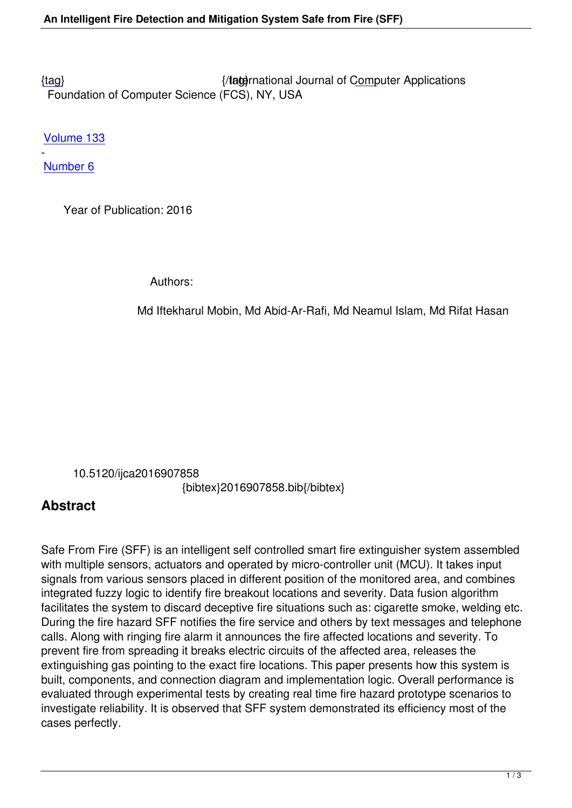{tag} International Journal of Computer Applications Foundation of Computer Science (FCS), NY, USA

[Volu](/research/volume133/number6/mobin-2016-ijca-907858.pdf)me 133

- Number 6

 [Year o](/archives/volume133/number6)f Publication: 2016

Authors:

Md Iftekharul Mobin, Md Abid-Ar-Rafi, Md Neamul Islam, Md Rifat Hasan

 10.5120/ijca2016907858 {bibtex}2016907858.bib{/bibtex}

## **Abstract**

Safe From Fire (SFF) is an intelligent self controlled smart fire extinguisher system assembled with multiple sensors, actuators and operated by micro-controller unit (MCU). It takes input signals from various sensors placed in different position of the monitored area, and combines integrated fuzzy logic to identify fire breakout locations and severity. Data fusion algorithm facilitates the system to discard deceptive fire situations such as: cigarette smoke, welding etc. During the fire hazard SFF notifies the fire service and others by text messages and telephone calls. Along with ringing fire alarm it announces the fire affected locations and severity. To prevent fire from spreading it breaks electric circuits of the affected area, releases the extinguishing gas pointing to the exact fire locations. This paper presents how this system is built, components, and connection diagram and implementation logic. Overall performance is evaluated through experimental tests by creating real time fire hazard prototype scenarios to investigate reliability. It is observed that SFF system demonstrated its efficiency most of the cases perfectly.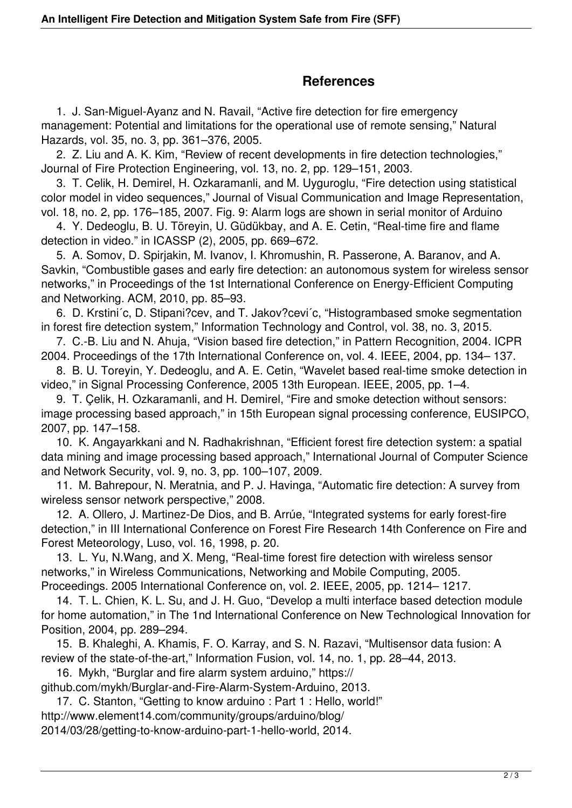## **References**

 1. J. San-Miguel-Ayanz and N. Ravail, "Active fire detection for fire emergency management: Potential and limitations for the operational use of remote sensing," Natural Hazards, vol. 35, no. 3, pp. 361–376, 2005.

 2. Z. Liu and A. K. Kim, "Review of recent developments in fire detection technologies," Journal of Fire Protection Engineering, vol. 13, no. 2, pp. 129–151, 2003.

 3. T. Celik, H. Demirel, H. Ozkaramanli, and M. Uyguroglu, "Fire detection using statistical color model in video sequences," Journal of Visual Communication and Image Representation, vol. 18, no. 2, pp. 176–185, 2007. Fig. 9: Alarm logs are shown in serial monitor of Arduino

 4. Y. Dedeoglu, B. U. Töreyin, U. Güdükbay, and A. E. Cetin, "Real-time fire and flame detection in video." in ICASSP (2), 2005, pp. 669–672.

 5. A. Somov, D. Spirjakin, M. Ivanov, I. Khromushin, R. Passerone, A. Baranov, and A. Savkin, "Combustible gases and early fire detection: an autonomous system for wireless sensor networks," in Proceedings of the 1st International Conference on Energy-Efficient Computing and Networking. ACM, 2010, pp. 85–93.

 6. D. Krstini´c, D. Stipani?cev, and T. Jakov?cevi´c, "Histogrambased smoke segmentation in forest fire detection system," Information Technology and Control, vol. 38, no. 3, 2015.

 7. C.-B. Liu and N. Ahuja, "Vision based fire detection," in Pattern Recognition, 2004. ICPR 2004. Proceedings of the 17th International Conference on, vol. 4. IEEE, 2004, pp. 134– 137.

 8. B. U. Toreyin, Y. Dedeoglu, and A. E. Cetin, "Wavelet based real-time smoke detection in video," in Signal Processing Conference, 2005 13th European. IEEE, 2005, pp. 1–4.

 9. T. Çelik, H. Ozkaramanli, and H. Demirel, "Fire and smoke detection without sensors: image processing based approach," in 15th European signal processing conference, EUSIPCO, 2007, pp. 147–158.

 10. K. Angayarkkani and N. Radhakrishnan, "Efficient forest fire detection system: a spatial data mining and image processing based approach," International Journal of Computer Science and Network Security, vol. 9, no. 3, pp. 100–107, 2009.

 11. M. Bahrepour, N. Meratnia, and P. J. Havinga, "Automatic fire detection: A survey from wireless sensor network perspective," 2008.

 12. A. Ollero, J. Martinez-De Dios, and B. Arrúe, "Integrated systems for early forest-fire detection," in III International Conference on Forest Fire Research 14th Conference on Fire and Forest Meteorology, Luso, vol. 16, 1998, p. 20.

 13. L. Yu, N.Wang, and X. Meng, "Real-time forest fire detection with wireless sensor networks," in Wireless Communications, Networking and Mobile Computing, 2005. Proceedings. 2005 International Conference on, vol. 2. IEEE, 2005, pp. 1214– 1217.

 14. T. L. Chien, K. L. Su, and J. H. Guo, "Develop a multi interface based detection module for home automation," in The 1nd International Conference on New Technological Innovation for Position, 2004, pp. 289–294.

 15. B. Khaleghi, A. Khamis, F. O. Karray, and S. N. Razavi, "Multisensor data fusion: A review of the state-of-the-art," Information Fusion, vol. 14, no. 1, pp. 28–44, 2013.

 16. Mykh, "Burglar and fire alarm system arduino," https:// github.com/mykh/Burglar-and-Fire-Alarm-System-Arduino, 2013.

 17. C. Stanton, "Getting to know arduino : Part 1 : Hello, world!" http://www.element14.com/community/groups/arduino/blog/ 2014/03/28/getting-to-know-arduino-part-1-hello-world, 2014.